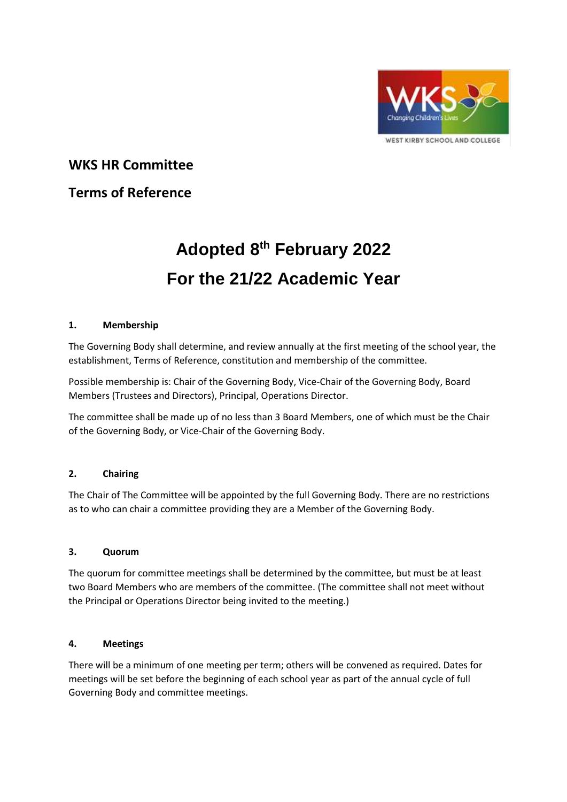

**WKS HR Committee** 

# **Terms of Reference**

# **Adopted 8 th February 2022 For the 21/22 Academic Year**

# **1. Membership**

The Governing Body shall determine, and review annually at the first meeting of the school year, the establishment, Terms of Reference, constitution and membership of the committee.

Possible membership is: Chair of the Governing Body, Vice-Chair of the Governing Body, Board Members (Trustees and Directors), Principal, Operations Director.

The committee shall be made up of no less than 3 Board Members, one of which must be the Chair of the Governing Body, or Vice-Chair of the Governing Body.

# **2. Chairing**

The Chair of The Committee will be appointed by the full Governing Body. There are no restrictions as to who can chair a committee providing they are a Member of the Governing Body.

# **3. Quorum**

The quorum for committee meetings shall be determined by the committee, but must be at least two Board Members who are members of the committee. (The committee shall not meet without the Principal or Operations Director being invited to the meeting.)

# **4. Meetings**

There will be a minimum of one meeting per term; others will be convened as required. Dates for meetings will be set before the beginning of each school year as part of the annual cycle of full Governing Body and committee meetings.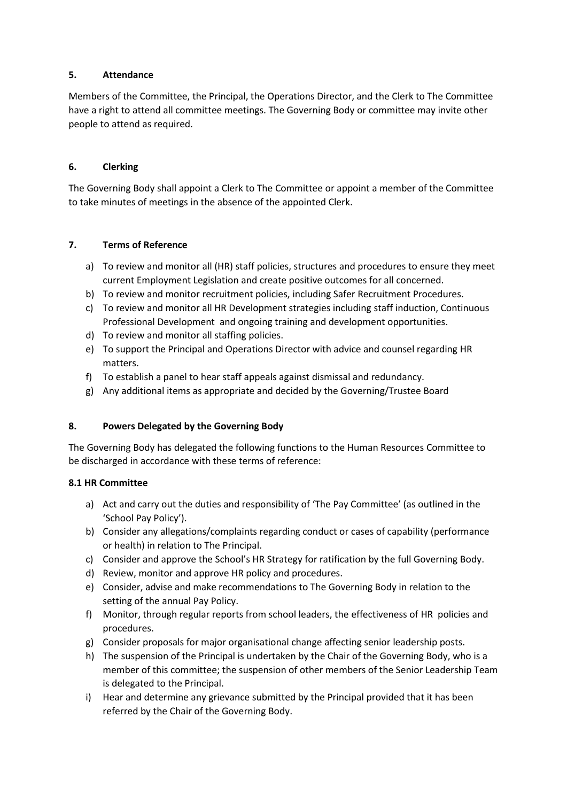# **5. Attendance**

Members of the Committee, the Principal, the Operations Director, and the Clerk to The Committee have a right to attend all committee meetings. The Governing Body or committee may invite other people to attend as required.

#### **6. Clerking**

The Governing Body shall appoint a Clerk to The Committee or appoint a member of the Committee to take minutes of meetings in the absence of the appointed Clerk.

# **7. Terms of Reference**

- a) To review and monitor all (HR) staff policies, structures and procedures to ensure they meet current Employment Legislation and create positive outcomes for all concerned.
- b) To review and monitor recruitment policies, including Safer Recruitment Procedures.
- c) To review and monitor all HR Development strategies including staff induction, Continuous Professional Development and ongoing training and development opportunities.
- d) To review and monitor all staffing policies.
- e) To support the Principal and Operations Director with advice and counsel regarding HR matters.
- f) To establish a panel to hear staff appeals against dismissal and redundancy.
- g) Any additional items as appropriate and decided by the Governing/Trustee Board

#### **8. Powers Delegated by the Governing Body**

The Governing Body has delegated the following functions to the Human Resources Committee to be discharged in accordance with these terms of reference:

#### **8.1 HR Committee**

- a) Act and carry out the duties and responsibility of 'The Pay Committee' (as outlined in the 'School Pay Policy').
- b) Consider any allegations/complaints regarding conduct or cases of capability (performance or health) in relation to The Principal.
- c) Consider and approve the School's HR Strategy for ratification by the full Governing Body.
- d) Review, monitor and approve HR policy and procedures.
- e) Consider, advise and make recommendations to The Governing Body in relation to the setting of the annual Pay Policy.
- f) Monitor, through regular reports from school leaders, the effectiveness of HR policies and procedures.
- g) Consider proposals for major organisational change affecting senior leadership posts.
- h) The suspension of the Principal is undertaken by the Chair of the Governing Body, who is a member of this committee; the suspension of other members of the Senior Leadership Team is delegated to the Principal.
- i) Hear and determine any grievance submitted by the Principal provided that it has been referred by the Chair of the Governing Body.